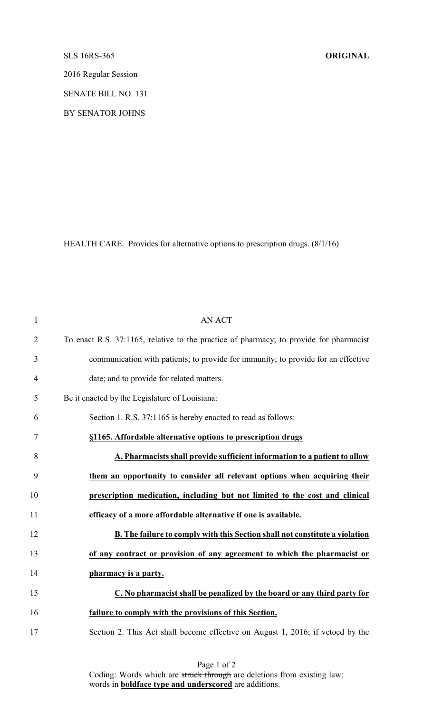## SLS 16RS-365 **ORIGINAL**

2016 Regular Session

SENATE BILL NO. 131

BY SENATOR JOHNS

HEALTH CARE. Provides for alternative options to prescription drugs. (8/1/16)

| $\mathbf{1}$   | <b>AN ACT</b>                                                                          |
|----------------|----------------------------------------------------------------------------------------|
| $\overline{2}$ | To enact R.S. 37:1165, relative to the practice of pharmacy; to provide for pharmacist |
| 3              | communication with patients; to provide for immunity; to provide for an effective      |
| $\overline{4}$ | date; and to provide for related matters.                                              |
| 5              | Be it enacted by the Legislature of Louisiana:                                         |
| 6              | Section 1. R.S. 37:1165 is hereby enacted to read as follows:                          |
| 7              | §1165. Affordable alternative options to prescription drugs                            |
| 8              | A. Pharmacists shall provide sufficient information to a patient to allow              |
| 9              | them an opportunity to consider all relevant options when acquiring their              |
| 10             | prescription medication, including but not limited to the cost and clinical            |
| 11             | efficacy of a more affordable alternative if one is available.                         |
| 12             | B. The failure to comply with this Section shall not constitute a violation            |
| 13             | of any contract or provision of any agreement to which the pharmacist or               |
| 14             | pharmacy is a party.                                                                   |
| 15             | C. No pharmacist shall be penalized by the board or any third party for                |
| 16             | failure to comply with the provisions of this Section.                                 |
| 17             | Section 2. This Act shall become effective on August 1, 2016; if vetoed by the         |

Page 1 of 2 Coding: Words which are struck through are deletions from existing law; words in **boldface type and underscored** are additions.